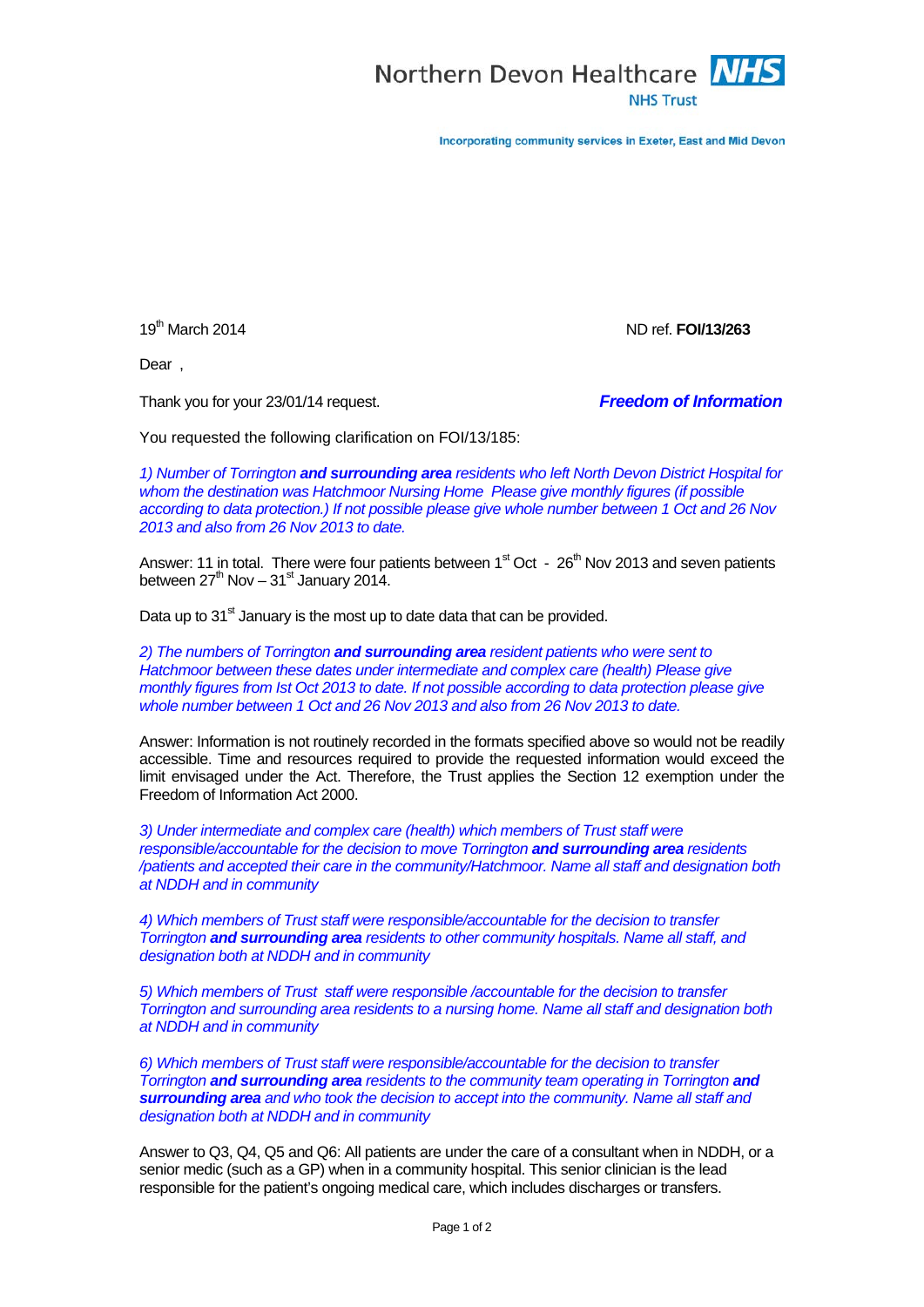

Incorporating community services in Exeter, East and Mid Devon

19th March 2014 ND ref. **FOI/13/263**

Dear ,

Thank you for your 23/01/14 request. *Freedom of Information*

You requested the following clarification on FOI/13/185:

*1) Number of Torrington and surrounding area residents who left North Devon District Hospital for whom the destination was Hatchmoor Nursing Home Please give monthly figures (if possible according to data protection.) If not possible please give whole number between 1 Oct and 26 Nov 2013 and also from 26 Nov 2013 to date.*

Answer: 11 in total. There were four patients between  $1<sup>st</sup>$  Oct -  $26<sup>th</sup>$  Nov 2013 and seven patients between  $27<sup>th</sup>$  Nov –  $31<sup>st</sup>$  January 2014.

Data up to  $31<sup>st</sup>$  January is the most up to date data that can be provided.

*2) The numbers of Torrington and surrounding area resident patients who were sent to Hatchmoor between these dates under intermediate and complex care (health) Please give monthly figures from Ist Oct 2013 to date. If not possible according to data protection please give whole number between 1 Oct and 26 Nov 2013 and also from 26 Nov 2013 to date.*

Answer: Information is not routinely recorded in the formats specified above so would not be readily accessible. Time and resources required to provide the requested information would exceed the limit envisaged under the Act. Therefore, the Trust applies the Section 12 exemption under the Freedom of Information Act 2000.

*3) Under intermediate and complex care (health) which members of Trust staff were responsible/accountable for the decision to move Torrington and surrounding area residents /patients and accepted their care in the community/Hatchmoor. Name all staff and designation both at NDDH and in community* 

*4) Which members of Trust staff were responsible/accountable for the decision to transfer Torrington and surrounding area residents to other community hospitals. Name all staff, and designation both at NDDH and in community*

*5) Which members of Trust staff were responsible /accountable for the decision to transfer Torrington and surrounding area residents to a nursing home. Name all staff and designation both at NDDH and in community* 

*6) Which members of Trust staff were responsible/accountable for the decision to transfer Torrington and surrounding area residents to the community team operating in Torrington and surrounding area and who took the decision to accept into the community. Name all staff and designation both at NDDH and in community*

Answer to Q3, Q4, Q5 and Q6: All patients are under the care of a consultant when in NDDH, or a senior medic (such as a GP) when in a community hospital. This senior clinician is the lead responsible for the patient's ongoing medical care, which includes discharges or transfers.